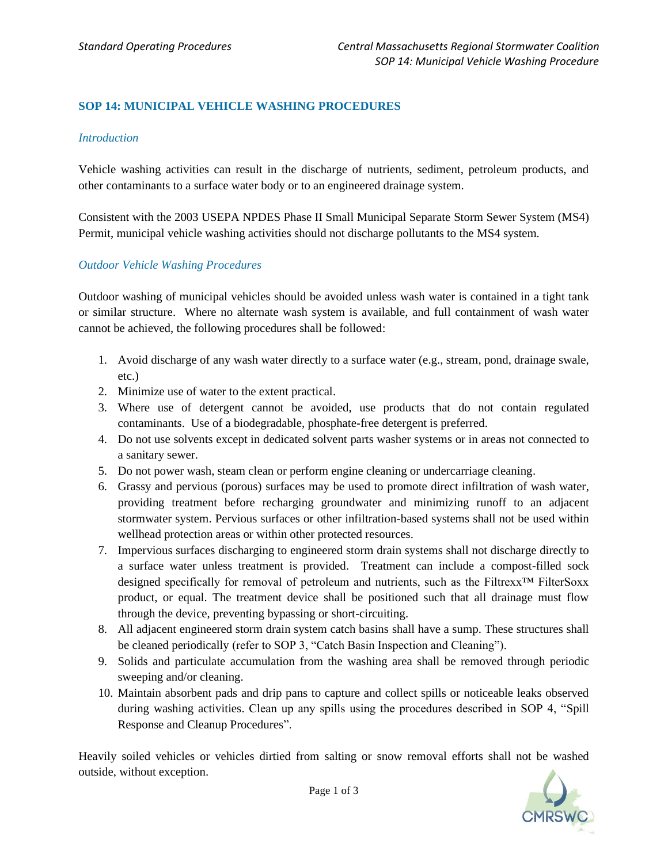# **SOP 14: MUNICIPAL VEHICLE WASHING PROCEDURES**

### *Introduction*

Vehicle washing activities can result in the discharge of nutrients, sediment, petroleum products, and other contaminants to a surface water body or to an engineered drainage system.

Consistent with the 2003 USEPA NPDES Phase II Small Municipal Separate Storm Sewer System (MS4) Permit, municipal vehicle washing activities should not discharge pollutants to the MS4 system.

### *Outdoor Vehicle Washing Procedures*

Outdoor washing of municipal vehicles should be avoided unless wash water is contained in a tight tank or similar structure. Where no alternate wash system is available, and full containment of wash water cannot be achieved, the following procedures shall be followed:

- 1. Avoid discharge of any wash water directly to a surface water (e.g., stream, pond, drainage swale, etc.)
- 2. Minimize use of water to the extent practical.
- 3. Where use of detergent cannot be avoided, use products that do not contain regulated contaminants. Use of a biodegradable, phosphate-free detergent is preferred.
- 4. Do not use solvents except in dedicated solvent parts washer systems or in areas not connected to a sanitary sewer.
- 5. Do not power wash, steam clean or perform engine cleaning or undercarriage cleaning.
- 6. Grassy and pervious (porous) surfaces may be used to promote direct infiltration of wash water, providing treatment before recharging groundwater and minimizing runoff to an adjacent stormwater system. Pervious surfaces or other infiltration-based systems shall not be used within wellhead protection areas or within other protected resources.
- 7. Impervious surfaces discharging to engineered storm drain systems shall not discharge directly to a surface water unless treatment is provided. Treatment can include a compost-filled sock designed specifically for removal of petroleum and nutrients, such as the Filtrexx™ FilterSoxx product, or equal. The treatment device shall be positioned such that all drainage must flow through the device, preventing bypassing or short-circuiting.
- 8. All adjacent engineered storm drain system catch basins shall have a sump. These structures shall be cleaned periodically (refer to SOP 3, "Catch Basin Inspection and Cleaning").
- 9. Solids and particulate accumulation from the washing area shall be removed through periodic sweeping and/or cleaning.
- 10. Maintain absorbent pads and drip pans to capture and collect spills or noticeable leaks observed during washing activities. Clean up any spills using the procedures described in SOP 4, "Spill Response and Cleanup Procedures".

Heavily soiled vehicles or vehicles dirtied from salting or snow removal efforts shall not be washed outside, without exception.

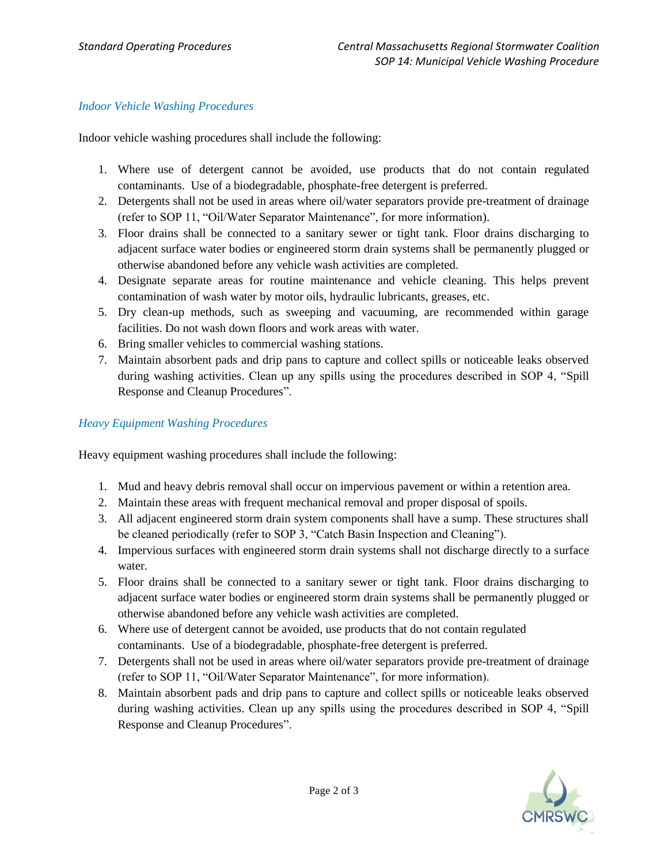## *Indoor Vehicle Washing Procedures*

Indoor vehicle washing procedures shall include the following:

- 1. Where use of detergent cannot be avoided, use products that do not contain regulated contaminants. Use of a biodegradable, phosphate-free detergent is preferred.
- 2. Detergents shall not be used in areas where oil/water separators provide pre-treatment of drainage (refer to SOP 11, "Oil/Water Separator Maintenance", for more information).
- 3. Floor drains shall be connected to a sanitary sewer or tight tank. Floor drains discharging to adjacent surface water bodies or engineered storm drain systems shall be permanently plugged or otherwise abandoned before any vehicle wash activities are completed.
- 4. Designate separate areas for routine maintenance and vehicle cleaning. This helps prevent contamination of wash water by motor oils, hydraulic lubricants, greases, etc.
- 5. Dry clean-up methods, such as sweeping and vacuuming, are recommended within garage facilities. Do not wash down floors and work areas with water.
- 6. Bring smaller vehicles to commercial washing stations.
- 7. Maintain absorbent pads and drip pans to capture and collect spills or noticeable leaks observed during washing activities. Clean up any spills using the procedures described in SOP 4, "Spill Response and Cleanup Procedures".

## *Heavy Equipment Washing Procedures*

Heavy equipment washing procedures shall include the following:

- 1. Mud and heavy debris removal shall occur on impervious pavement or within a retention area.
- 2. Maintain these areas with frequent mechanical removal and proper disposal of spoils.
- 3. All adjacent engineered storm drain system components shall have a sump. These structures shall be cleaned periodically (refer to SOP 3, "Catch Basin Inspection and Cleaning").
- 4. Impervious surfaces with engineered storm drain systems shall not discharge directly to a surface water.
- 5. Floor drains shall be connected to a sanitary sewer or tight tank. Floor drains discharging to adjacent surface water bodies or engineered storm drain systems shall be permanently plugged or otherwise abandoned before any vehicle wash activities are completed.
- 6. Where use of detergent cannot be avoided, use products that do not contain regulated contaminants. Use of a biodegradable, phosphate-free detergent is preferred.
- 7. Detergents shall not be used in areas where oil/water separators provide pre-treatment of drainage (refer to SOP 11, "Oil/Water Separator Maintenance", for more information).
- 8. Maintain absorbent pads and drip pans to capture and collect spills or noticeable leaks observed during washing activities. Clean up any spills using the procedures described in SOP 4, "Spill Response and Cleanup Procedures".